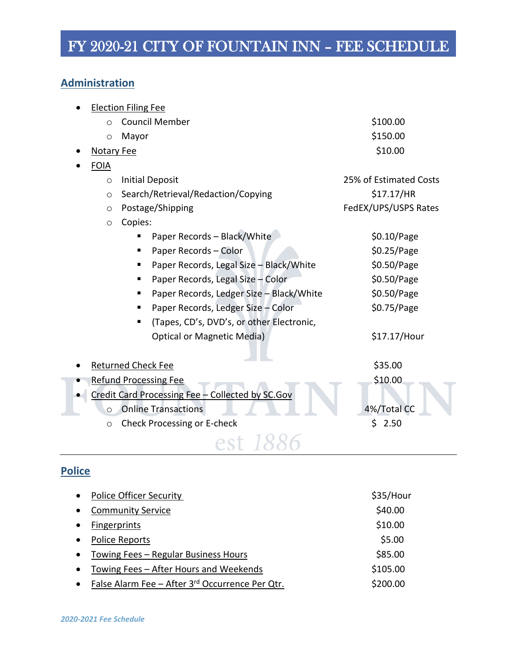#### **Administration**

| <b>Election Filing Fee</b>                       |                        |  |  |
|--------------------------------------------------|------------------------|--|--|
| <b>Council Member</b><br>$\circ$                 | \$100.00               |  |  |
| Mayor<br>$\circ$                                 | \$150.00               |  |  |
| <b>Notary Fee</b>                                | \$10.00                |  |  |
| <b>FOIA</b>                                      |                        |  |  |
| <b>Initial Deposit</b><br>$\circ$                | 25% of Estimated Costs |  |  |
| Search/Retrieval/Redaction/Copying<br>$\circ$    | \$17.17/HR             |  |  |
| Postage/Shipping<br>$\circ$                      | FedEX/UPS/USPS Rates   |  |  |
| Copies:<br>$\circ$                               |                        |  |  |
| Paper Records - Black/White                      | \$0.10/Page            |  |  |
| Paper Records - Color                            | \$0.25/Page            |  |  |
| Paper Records, Legal Size - Black/White          | \$0.50/Page            |  |  |
| Paper Records, Legal Size - Color                | \$0.50/Page            |  |  |
| Paper Records, Ledger Size - Black/White         | \$0.50/Page            |  |  |
| Paper Records, Ledger Size - Color               | \$0.75/Page            |  |  |
| (Tapes, CD's, DVD's, or other Electronic,        |                        |  |  |
| <b>Optical or Magnetic Media)</b>                | \$17.17/Hour           |  |  |
| <b>Returned Check Fee</b>                        | \$35.00                |  |  |
| <b>Refund Processing Fee</b>                     | \$10.00                |  |  |
| Credit Card Processing Fee - Collected by SC.Gov |                        |  |  |
| <b>Online Transactions</b><br>$\circ$            | 4%/Total CC            |  |  |
| Check Processing or E-check<br>$\circ$           | \$<br>2.50             |  |  |
|                                                  |                        |  |  |

### **Police**

| $\bullet$ | <b>Police Officer Security</b>                  | \$35/Hour |
|-----------|-------------------------------------------------|-----------|
| $\bullet$ | <b>Community Service</b>                        | \$40.00   |
| $\bullet$ | <b>Fingerprints</b>                             | \$10.00   |
| $\bullet$ | Police Reports                                  | \$5.00    |
| $\bullet$ | Towing Fees - Regular Business Hours            | \$85.00   |
| $\bullet$ | Towing Fees – After Hours and Weekends          | \$105.00  |
| $\bullet$ | False Alarm Fee - After 3rd Occurrence Per Qtr. | \$200.00  |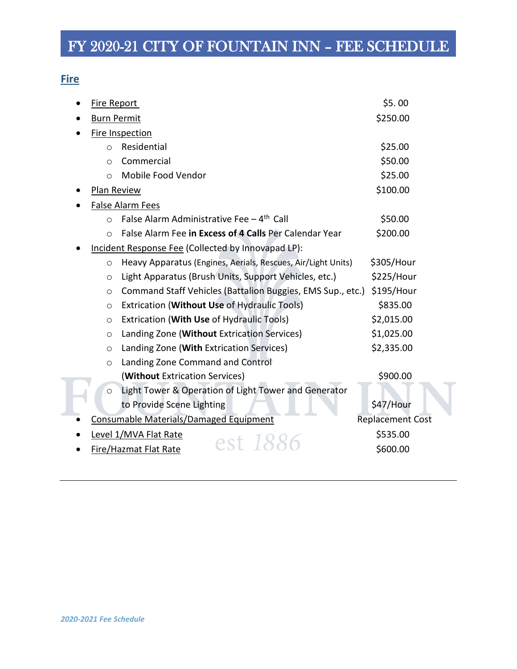#### **Fire**

| Fire Report        |                                                              | \$5.00                  |
|--------------------|--------------------------------------------------------------|-------------------------|
| <b>Burn Permit</b> |                                                              | \$250.00                |
|                    | Fire Inspection                                              |                         |
| $\circ$            | Residential                                                  | \$25.00                 |
| $\circ$            | Commercial                                                   | \$50.00                 |
| $\circ$            | Mobile Food Vendor                                           | \$25.00                 |
| Plan Review        |                                                              | \$100.00                |
|                    | <b>False Alarm Fees</b>                                      |                         |
| $\circ$            | False Alarm Administrative Fee - 4 <sup>th</sup> Call        | \$50.00                 |
| $\circ$            | False Alarm Fee in Excess of 4 Calls Per Calendar Year       | \$200.00                |
|                    | Incident Response Fee (Collected by Innovapad LP):           |                         |
| $\circ$            | Heavy Apparatus (Engines, Aerials, Rescues, Air/Light Units) | \$305/Hour              |
| $\circ$            | Light Apparatus (Brush Units, Support Vehicles, etc.)        | \$225/Hour              |
| $\circ$            | Command Staff Vehicles (Battalion Buggies, EMS Sup., etc.)   | \$195/Hour              |
| $\circ$            | Extrication (Without Use of Hydraulic Tools)                 | \$835.00                |
| $\circ$            | Extrication (With Use of Hydraulic Tools)                    | \$2,015.00              |
| $\circ$            | Landing Zone (Without Extrication Services)                  | \$1,025.00              |
| $\circ$            | Landing Zone (With Extrication Services)                     | \$2,335.00              |
| $\circ$            | Landing Zone Command and Control                             |                         |
|                    | (Without Extrication Services)                               | \$900.00                |
| $\circ$            | Light Tower & Operation of Light Tower and Generator         |                         |
|                    | to Provide Scene Lighting                                    | \$47/Hour               |
|                    | Consumable Materials/Damaged Equipment                       | <b>Replacement Cost</b> |
|                    | Level 1/MVA Flat Rate<br>est 18                              | \$535.00                |
|                    | Fire/Hazmat Flat Rate                                        | \$600.00                |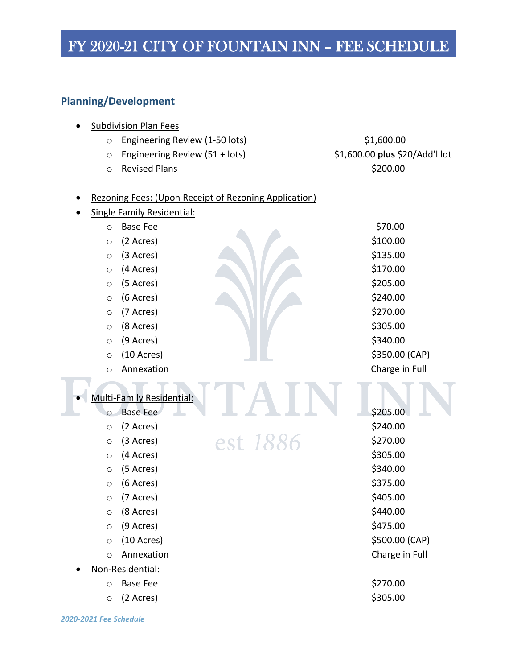### **Planning/Development**

|         | <b>Subdivision Plan Fees</b>                          |          |                                |
|---------|-------------------------------------------------------|----------|--------------------------------|
| $\circ$ | Engineering Review (1-50 lots)                        |          | \$1,600.00                     |
| $\circ$ | Engineering Review (51 + lots)                        |          | \$1,600.00 plus \$20/Add'l lot |
| $\circ$ | <b>Revised Plans</b>                                  |          | \$200.00                       |
|         |                                                       |          |                                |
|         | Rezoning Fees: (Upon Receipt of Rezoning Application) |          |                                |
|         | <b>Single Family Residential:</b>                     |          |                                |
| $\circ$ | <b>Base Fee</b>                                       |          | \$70.00                        |
| $\circ$ | (2 Acres)                                             |          | \$100.00                       |
| $\circ$ | (3 Acres)                                             |          | \$135.00                       |
| $\circ$ | (4 Acres)                                             |          | \$170.00                       |
| $\circ$ | (5 Acres)                                             |          | \$205.00                       |
| $\circ$ | (6 Acres)                                             |          | \$240.00                       |
| $\circ$ | (7 Acres)                                             |          | \$270.00                       |
| $\circ$ | (8 Acres)                                             |          | \$305.00                       |
| $\circ$ | (9 Acres)                                             |          | \$340.00                       |
| $\circ$ | $(10 \text{ A} \text{c} \text{res})$                  |          | \$350.00 (CAP)                 |
| $\circ$ | Annexation                                            |          | Charge in Full                 |
|         |                                                       |          |                                |
|         | <b>Multi-Family Residential:</b>                      |          |                                |
| $\circ$ | <b>Base Fee</b>                                       |          | \$205.00                       |
| $\circ$ | (2 Acres)                                             |          | \$240.00                       |
| $\circ$ | (3 Acres)                                             | est 1886 | \$270.00                       |
| $\circ$ | (4 Acres)                                             |          | \$305.00                       |
| $\circ$ | (5 Acres)                                             |          | \$340.00                       |
| $\circ$ | (6 Acres)                                             |          | \$375.00                       |
| $\circ$ | (7 Acres)                                             |          | \$405.00                       |
| $\circ$ | (8 Acres)                                             |          | \$440.00                       |
| $\circ$ | (9 Acres)                                             |          | \$475.00                       |
| $\circ$ | $(10 \text{ A} \text{c} \text{res})$                  |          | \$500.00 (CAP)                 |
| $\circ$ | Annexation                                            |          | Charge in Full                 |
|         | Non-Residential:                                      |          |                                |
| $\circ$ | <b>Base Fee</b>                                       |          | \$270.00                       |
| $\circ$ | (2 Acres)                                             |          | \$305.00                       |
|         |                                                       |          |                                |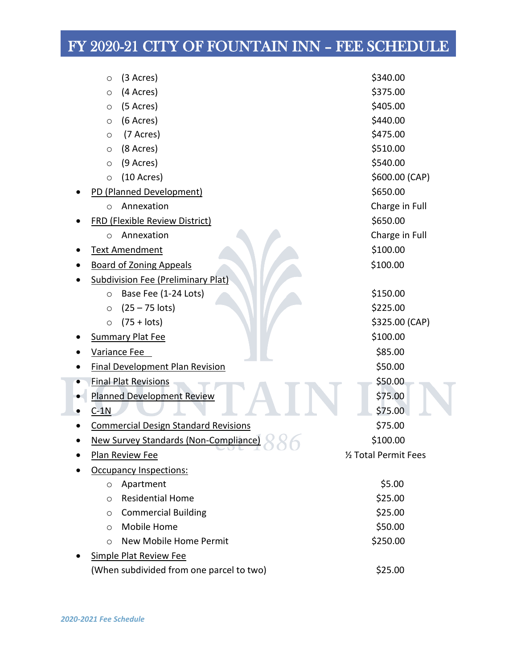| (3 Acres)<br>O                              | \$340.00              |
|---------------------------------------------|-----------------------|
| (4 Acres)<br>$\circ$                        | \$375.00              |
| (5 Acres)<br>$\circ$                        | \$405.00              |
| (6 Acres)<br>$\circ$                        | \$440.00              |
| (7 Acres)<br>$\circ$                        | \$475.00              |
| (8 Acres)<br>$\circ$                        | \$510.00              |
| (9 Acres)<br>$\circ$                        | \$540.00              |
| $(10 \text{ A} \text{c} \text{res})$<br>O   | \$600.00 (CAP)        |
| PD (Planned Development)                    | \$650.00              |
| Annexation<br>$\circ$                       | Charge in Full        |
| <b>FRD (Flexible Review District)</b>       | \$650.00              |
| Annexation<br>$\circ$                       | Charge in Full        |
| Text Amendment                              | \$100.00              |
| <b>Board of Zoning Appeals</b>              | \$100.00              |
| <b>Subdivision Fee (Preliminary Plat)</b>   |                       |
| Base Fee (1-24 Lots)<br>$\circ$             | \$150.00              |
| $(25 - 75$ lots)<br>$\circ$                 | \$225.00              |
| $(75 + \text{lots})$<br>$\circ$             | \$325.00 (CAP)        |
| <b>Summary Plat Fee</b>                     | \$100.00              |
| Variance Fee                                | \$85.00               |
| <b>Final Development Plan Revision</b>      | \$50.00               |
| <b>Final Plat Revisions</b>                 | \$50.00               |
| <b>Planned Development Review</b>           | \$75.00               |
| $C-1N$                                      | \$75.00               |
| <b>Commercial Design Standard Revisions</b> | \$75.00               |
| New Survey Standards (Non-Compliance)       | \$100.00              |
| - 10<br>Plan Review Fee                     | 1/2 Total Permit Fees |
| <b>Occupancy Inspections:</b>               |                       |
| Apartment<br>O                              | \$5.00                |
| <b>Residential Home</b><br>O                | \$25.00               |
| <b>Commercial Building</b><br>O             | \$25.00               |
| Mobile Home<br>O                            | \$50.00               |
| New Mobile Home Permit<br>O                 | \$250.00              |
| <b>Simple Plat Review Fee</b>               |                       |
| (When subdivided from one parcel to two)    | \$25.00               |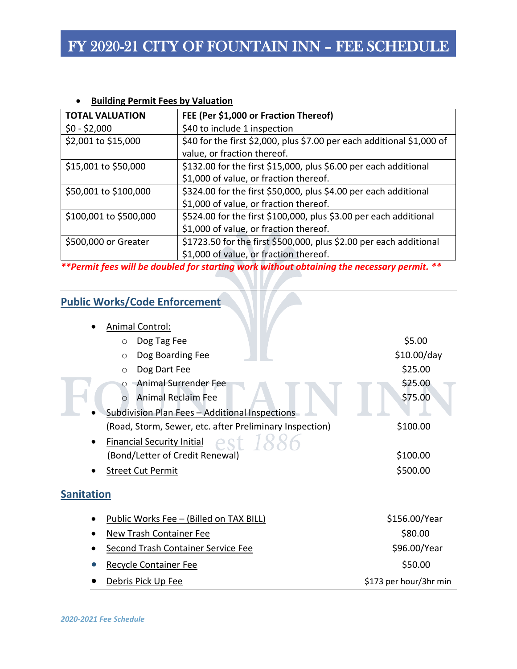#### • **Building Permit Fees by Valuation**

| <b>TOTAL VALUATION</b> | FEE (Per \$1,000 or Fraction Thereof)                                  |
|------------------------|------------------------------------------------------------------------|
| $$0 - $2,000$          | \$40 to include 1 inspection                                           |
| \$2,001 to \$15,000    | \$40 for the first \$2,000, plus \$7.00 per each additional \$1,000 of |
|                        | value, or fraction thereof.                                            |
| \$15,001 to \$50,000   | \$132.00 for the first \$15,000, plus \$6.00 per each additional       |
|                        | \$1,000 of value, or fraction thereof.                                 |
| \$50,001 to \$100,000  | \$324.00 for the first \$50,000, plus \$4.00 per each additional       |
|                        | \$1,000 of value, or fraction thereof.                                 |
| \$100,001 to \$500,000 | \$524.00 for the first \$100,000, plus \$3.00 per each additional      |
|                        | \$1,000 of value, or fraction thereof.                                 |
| \$500,000 or Greater   | \$1723.50 for the first \$500,000, plus \$2.00 per each additional     |
|                        | \$1,000 of value, or fraction thereof.                                 |

*\*\*Permit fees will be doubled for starting work without obtaining the necessary permit. \*\**

#### **Public Works/Code Enforcement**

| <b>Animal Control:</b>                                  |                        |
|---------------------------------------------------------|------------------------|
| Dog Tag Fee<br>$\circ$                                  | \$5.00                 |
| Dog Boarding Fee<br>$\circ$                             | \$10.00/day            |
| Dog Dart Fee<br>$\circ$                                 | \$25.00                |
| Animal Surrender Fee<br>$\circ$                         | \$25.00                |
| <b>Animal Reclaim Fee</b><br>$\Omega$                   | \$75.00                |
| Subdivision Plan Fees - Additional Inspections          |                        |
| (Road, Storm, Sewer, etc. after Preliminary Inspection) | \$100.00               |
| Financial Security Initial est 1886                     |                        |
| (Bond/Letter of Credit Renewal)                         | \$100.00               |
| <b>Street Cut Permit</b>                                | \$500.00               |
| <b>Sanitation</b>                                       |                        |
| Public Works Fee - (Billed on TAX BILL)                 | \$156.00/Year          |
| <b>New Trash Container Fee</b>                          | \$80.00                |
| <b>Second Trash Container Service Fee</b>               | \$96.00/Year           |
| <b>Recycle Container Fee</b>                            | \$50.00                |
| Debris Pick Up Fee                                      | \$173 per hour/3hr min |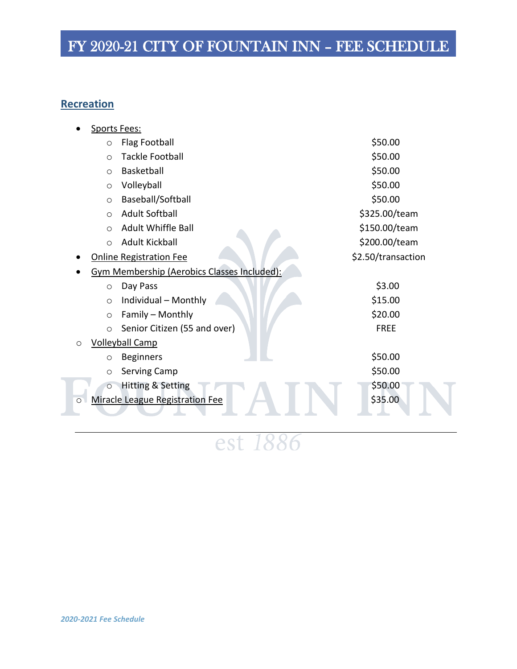#### **Recreation**

|   | Sports Fees: |                                                    |                    |
|---|--------------|----------------------------------------------------|--------------------|
|   | $\circ$      | <b>Flag Football</b>                               | \$50.00            |
|   | $\circ$      | <b>Tackle Football</b>                             | \$50.00            |
|   | $\circ$      | <b>Basketball</b>                                  | \$50.00            |
|   | $\circ$      | Volleyball                                         | \$50.00            |
|   | $\circ$      | Baseball/Softball                                  | \$50.00            |
|   | $\circ$      | <b>Adult Softball</b>                              | \$325.00/team      |
|   | $\circ$      | <b>Adult Whiffle Ball</b>                          | \$150.00/team      |
|   | $\circ$      | <b>Adult Kickball</b>                              | \$200.00/team      |
|   |              | <b>Online Registration Fee</b>                     | \$2.50/transaction |
|   |              | <b>Gym Membership (Aerobics Classes Included):</b> |                    |
|   | $\circ$      | Day Pass                                           | \$3.00             |
|   | $\circ$      | Individual - Monthly                               | \$15.00            |
|   | $\circ$      | Family - Monthly                                   | \$20.00            |
|   | $\circ$      | Senior Citizen (55 and over)                       | <b>FREE</b>        |
| O |              | <b>Volleyball Camp</b>                             |                    |
|   | $\circ$      | <b>Beginners</b>                                   | \$50.00            |
|   | $\circ$      | Serving Camp                                       | \$50.00            |
|   | $\circ$      | Hitting & Setting                                  | \$50.00            |
|   |              | Miracle League Registration Fee                    | \$35.00            |
|   |              |                                                    |                    |

est 1886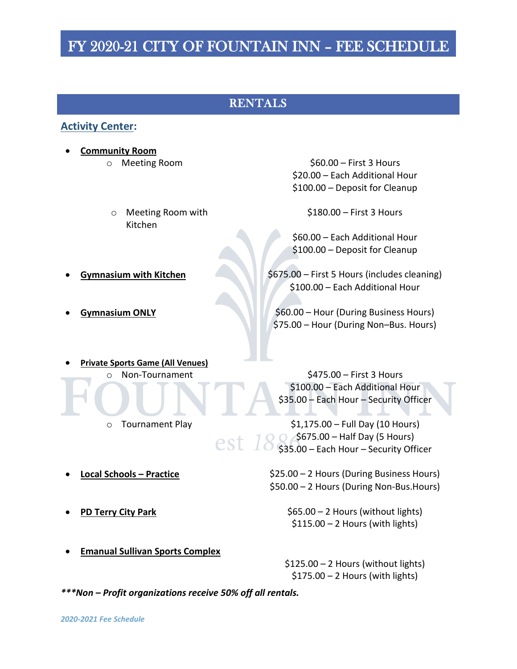#### RENTALS

#### **Activity Center:**

- **Community Room**
	- o Meeting Room with Kitchen

o Meeting Room \$60.00 – First 3 Hours \$20.00 – Each Additional Hour \$100.00 – Deposit for Cleanup

\$180.00 – First 3 Hours

\$60.00 – Each Additional Hour \$100.00 – Deposit for Cleanup

**Gymnasium with Kitchen**  $\sim$  \$675.00 – First 5 Hours (includes cleaning) \$100.00 – Each Additional Hour

**Gymnasium ONLY** 660.00 – Hour (During Business Hours) \$75.00 – Hour (During Non–Bus. Hours)

• **Private Sports Game (All Venues)** o Non-Tournament \$475.00 – First 3 Hours

> \$100.00 – Each Additional Hour \$35.00 – Each Hour – Security Officer

 $\circ$  Tournament Play  $$1,175.00 - Full$  Day (10 Hours) **S675.00 – Half Day (5 Hours)** est 1 \$35.00 – Each Hour – Security Officer

• **Local Schools – Practice** \$25.00 – 2 Hours (During Business Hours) \$50.00 – 2 Hours (During Non-Bus.Hours)

> \$65.00 – 2 Hours (without lights)  $$115.00 - 2$  Hours (with lights)

\$125.00 – 2 Hours (without lights)  $$175.00 - 2$  Hours (with lights)

• **Emanual Sullivan Sports Complex** 

*\*\*\*Non – Profit organizations receive 50% off all rentals.*

• **PD Terry City Park**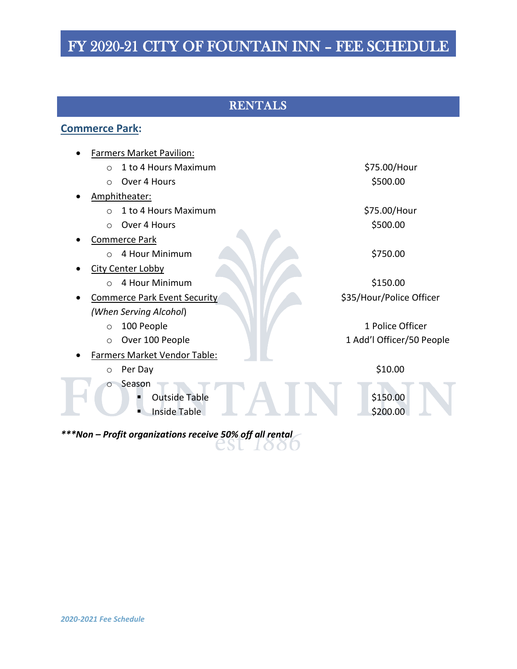### RENTALS

#### **Commerce Park:**

| <b>Farmers Market Pavilion:</b>                                  |                           |
|------------------------------------------------------------------|---------------------------|
| 1 to 4 Hours Maximum<br>$\Omega$                                 | \$75.00/Hour              |
| Over 4 Hours<br>$\circ$                                          | \$500.00                  |
| Amphitheater:                                                    |                           |
| 1 to 4 Hours Maximum<br>$\Omega$                                 | \$75.00/Hour              |
| Over 4 Hours<br>$\Omega$                                         | \$500.00                  |
| <b>Commerce Park</b>                                             |                           |
| 4 Hour Minimum<br>$\bigcirc$                                     | \$750.00                  |
| <b>City Center Lobby</b>                                         |                           |
| 4 Hour Minimum<br>$\bigcirc$                                     | \$150.00                  |
| <b>Commerce Park Event Security</b>                              | \$35/Hour/Police Officer  |
| (When Serving Alcohol)                                           |                           |
| 100 People<br>$\circ$                                            | 1 Police Officer          |
| Over 100 People<br>$\circ$                                       | 1 Add'l Officer/50 People |
| Farmers Market Vendor Table:                                     |                           |
| Per Day<br>$\circ$                                               | \$10.00                   |
| Season<br>$\circ$<br><b>Outside Table</b><br><b>Inside Table</b> | \$150.00<br>\$200.00      |

*\*\*\*Non – Profit organizations receive 50% off all rental*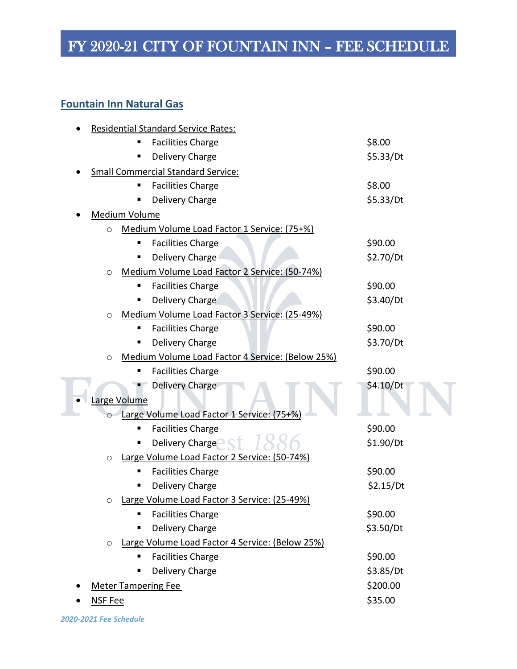#### **Fountain Inn Natural Gas**

| <b>Residential Standard Service Rates:</b>                  |           |  |  |
|-------------------------------------------------------------|-----------|--|--|
| <b>Facilities Charge</b>                                    | \$8.00    |  |  |
| Delivery Charge<br>п                                        | \$5.33/Dt |  |  |
| <b>Small Commercial Standard Service:</b>                   |           |  |  |
| <b>Facilities Charge</b><br>п                               | \$8.00    |  |  |
| Delivery Charge                                             | \$5.33/Dt |  |  |
| Medium Volume                                               |           |  |  |
| Medium Volume Load Factor 1 Service: (75+%)<br>$\circ$      |           |  |  |
| <b>Facilities Charge</b><br>п                               | \$90.00   |  |  |
| Delivery Charge<br>п                                        | \$2.70/Dt |  |  |
| Medium Volume Load Factor 2 Service: (50-74%)<br>$\circ$    |           |  |  |
| <b>Facilities Charge</b>                                    | \$90.00   |  |  |
| Delivery Charge                                             | \$3.40/Dt |  |  |
| Medium Volume Load Factor 3 Service: (25-49%)<br>$\circ$    |           |  |  |
| <b>Facilities Charge</b><br>п                               | \$90.00   |  |  |
| Delivery Charge                                             | \$3.70/Dt |  |  |
| Medium Volume Load Factor 4 Service: (Below 25%)<br>$\circ$ |           |  |  |
| <b>Facilities Charge</b>                                    | \$90.00   |  |  |
| Delivery Charge                                             | \$4.10/Dt |  |  |
| Large Volume                                                |           |  |  |
| Large Volume Load Factor 1 Service: (75+%)<br>$\circ$       |           |  |  |
| <b>Facilities Charge</b><br>п                               | \$90.00   |  |  |
| Delivery Charge <sup>®</sup>                                | \$1.90/Dt |  |  |
| Large Volume Load Factor 2 Service: (50-74%)<br>$\circ$     |           |  |  |
| <b>Facilities Charge</b><br>п                               | \$90.00   |  |  |
| Delivery Charge                                             | \$2.15/Dt |  |  |
| o Large Volume Load Factor 3 Service: (25-49%)              |           |  |  |
| <b>Facilities Charge</b><br>п                               | \$90.00   |  |  |
| Delivery Charge<br>п                                        | \$3.50/Dt |  |  |
| Large Volume Load Factor 4 Service: (Below 25%)<br>$\circ$  |           |  |  |
| <b>Facilities Charge</b><br>п                               | \$90.00   |  |  |
| Delivery Charge                                             | \$3.85/Dt |  |  |
| <b>Meter Tampering Fee</b>                                  | \$200.00  |  |  |
| NSF Fee                                                     | \$35.00   |  |  |